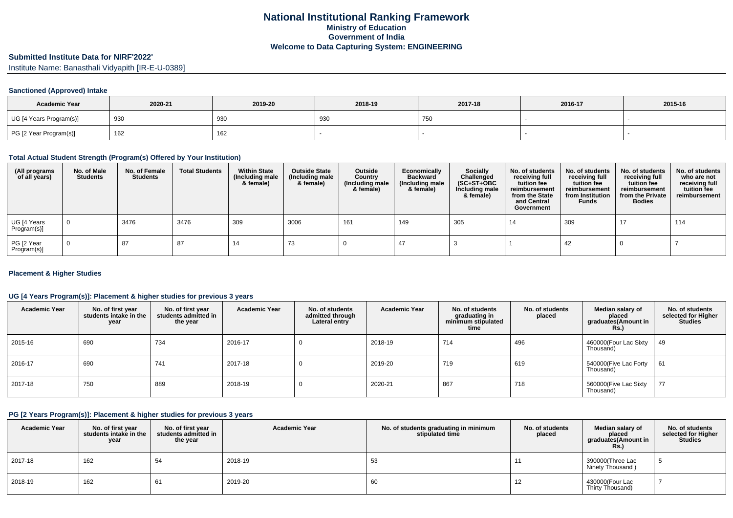# **Submitted Institute Data for NIRF'2022'**

Institute Name: Banasthali Vidyapith [IR-E-U-0389]

### **Sanctioned (Approved) Intake**

| <b>Academic Year</b>    | 2020-21 | 2019-20 | 2018-19 | 2017-18 | 2016-17 | 2015-16 |
|-------------------------|---------|---------|---------|---------|---------|---------|
| UG [4 Years Program(s)] | 930     | 930     | 930     | 750     |         |         |
| PG [2 Year Program(s)]  | 162     | 162     |         |         |         |         |

### **Total Actual Student Strength (Program(s) Offered by Your Institution)**

| (All programs<br>of all years) | No. of Male<br><b>Students</b> | No. of Female<br>Students | <b>Total Students</b> | <b>Within State</b><br>(Including male<br>& female) | <b>Outside State</b><br>(Including male<br>& female) | Outside<br>Country<br>(Including male<br>& female) | Economically<br><b>Backward</b><br>(Including male<br>& female) | <b>Socially</b><br>Challenged<br>$(SC+ST+OBC)$<br>Including male<br>& female) | No. of students<br>receiving full<br>tuition fee<br>reimbursement<br>from the State<br>and Central<br>Government | No. of students<br>receiving full<br>tuition fee<br>reimbursement<br>from Institution<br><b>Funds</b> | No. of students<br>receiving full<br>tuition fee<br>reimbursement<br>from the Private<br><b>Bodies</b> | No. of students<br>who are not<br>receiving full<br>tuition fee<br>reimbursement |
|--------------------------------|--------------------------------|---------------------------|-----------------------|-----------------------------------------------------|------------------------------------------------------|----------------------------------------------------|-----------------------------------------------------------------|-------------------------------------------------------------------------------|------------------------------------------------------------------------------------------------------------------|-------------------------------------------------------------------------------------------------------|--------------------------------------------------------------------------------------------------------|----------------------------------------------------------------------------------|
| UG [4 Years<br>Program(s)]     | $\overline{0}$                 | 3476                      | 3476                  | 309                                                 | 3006                                                 | 161                                                | 149                                                             | 305                                                                           | 14                                                                                                               | 309                                                                                                   | 17                                                                                                     | 114                                                                              |
| PG [2 Year<br>Program(s)]      | $\overline{0}$                 | 87                        | 87                    | -14                                                 | 73                                                   |                                                    |                                                                 |                                                                               |                                                                                                                  | 42                                                                                                    |                                                                                                        |                                                                                  |

### **Placement & Higher Studies**

### **UG [4 Years Program(s)]: Placement & higher studies for previous 3 years**

| <b>Academic Year</b> | No. of first year<br>students intake in the<br>year | No. of first vear<br>students admitted in<br>the year | <b>Academic Year</b> | No. of students<br>admitted through<br>Lateral entry | <b>Academic Year</b> | No. of students<br>graduating in<br>minimum stipulated<br>time | No. of students<br>placed | Median salary of<br>placed<br>graduates(Amount in<br>Rs. | No. of students<br>selected for Higher<br><b>Studies</b> |
|----------------------|-----------------------------------------------------|-------------------------------------------------------|----------------------|------------------------------------------------------|----------------------|----------------------------------------------------------------|---------------------------|----------------------------------------------------------|----------------------------------------------------------|
| 2015-16              | 690                                                 | 734                                                   | 2016-17              |                                                      | 2018-19              | 714                                                            | 496                       | 460000(Four Lac Sixty<br>Thousand)                       | 49                                                       |
| 2016-17              | 690                                                 | 741                                                   | 2017-18              |                                                      | 2019-20              | 719                                                            | 619                       | 540000(Five Lac Forty<br>Thousand)                       | 61                                                       |
| 2017-18              | 750                                                 | 889                                                   | 2018-19              |                                                      | 2020-21              | 867                                                            | 718                       | 560000(Five Lac Sixty<br>Thousand)                       | 77                                                       |

### **PG [2 Years Program(s)]: Placement & higher studies for previous 3 years**

| <b>Academic Year</b> | No. of first year<br>students intake in the<br>year | No. of first vear<br>students admitted in<br>the year | <b>Academic Year</b> | No. of students graduating in minimum<br>stipulated time | No. of students<br>placed | Median salary of<br>placed<br>graduates (Amount in<br>Rs.) | No. of students<br>selected for Higher<br><b>Studies</b> |
|----------------------|-----------------------------------------------------|-------------------------------------------------------|----------------------|----------------------------------------------------------|---------------------------|------------------------------------------------------------|----------------------------------------------------------|
| 2017-18              | 162                                                 | 54                                                    | 2018-19              | 53                                                       |                           | 390000(Three Lac<br>Ninety Thousand)                       | J.                                                       |
| 2018-19              | 162                                                 | 61                                                    | 2019-20              | 60                                                       | 12                        | 430000(Four Lac<br>Thirty Thousand)                        |                                                          |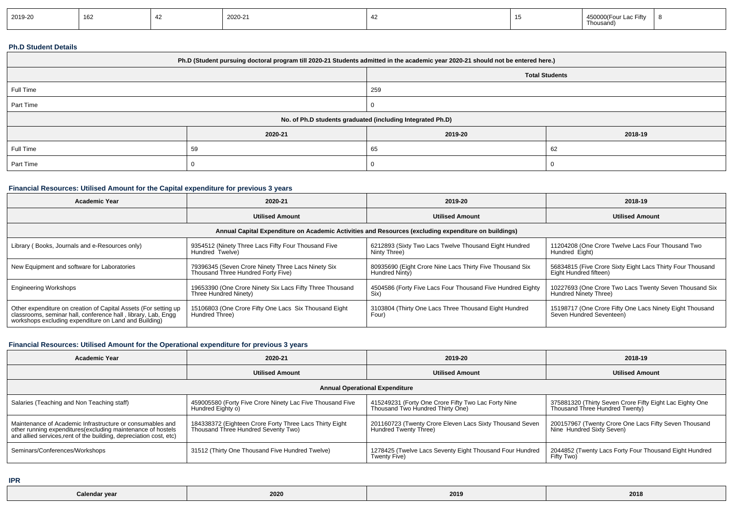| 2019-20 | ACC<br>⊿סו |  | 2020-21 |  |  | 00(Four Lac Fifty<br>$A E \cap C$<br><b>4000C</b><br>Thousand) |  |
|---------|------------|--|---------|--|--|----------------------------------------------------------------|--|
|---------|------------|--|---------|--|--|----------------------------------------------------------------|--|

### **Ph.D Student Details**

| Ph.D (Student pursuing doctoral program till 2020-21 Students admitted in the academic year 2020-21 should not be entered here.) |         |         |         |  |  |  |
|----------------------------------------------------------------------------------------------------------------------------------|---------|---------|---------|--|--|--|
| <b>Total Students</b>                                                                                                            |         |         |         |  |  |  |
| Full Time                                                                                                                        |         | 259     |         |  |  |  |
| Part Time                                                                                                                        |         |         |         |  |  |  |
| No. of Ph.D students graduated (including Integrated Ph.D)                                                                       |         |         |         |  |  |  |
|                                                                                                                                  | 2020-21 | 2019-20 | 2018-19 |  |  |  |
| Full Time                                                                                                                        | 59      | 65      | 62      |  |  |  |
| Part Time                                                                                                                        |         |         |         |  |  |  |

## **Financial Resources: Utilised Amount for the Capital expenditure for previous 3 years**

| <b>Academic Year</b>                                                                                                                                                                      | 2020-21                                                                                  | 2019-20                                                                    | 2018-19                                                                              |  |  |  |  |  |
|-------------------------------------------------------------------------------------------------------------------------------------------------------------------------------------------|------------------------------------------------------------------------------------------|----------------------------------------------------------------------------|--------------------------------------------------------------------------------------|--|--|--|--|--|
|                                                                                                                                                                                           | <b>Utilised Amount</b>                                                                   | <b>Utilised Amount</b>                                                     | <b>Utilised Amount</b>                                                               |  |  |  |  |  |
| Annual Capital Expenditure on Academic Activities and Resources (excluding expenditure on buildings)                                                                                      |                                                                                          |                                                                            |                                                                                      |  |  |  |  |  |
| Library (Books, Journals and e-Resources only)                                                                                                                                            | 9354512 (Ninety Three Lacs Fifty Four Thousand Five<br>Hundred Twelve)                   | 6212893 (Sixty Two Lacs Twelve Thousand Eight Hundred<br>Ninty Three)      | 11204208 (One Crore Twelve Lacs Four Thousand Two<br>Hundred Eight)                  |  |  |  |  |  |
| New Equipment and software for Laboratories                                                                                                                                               | 79396345 (Seven Crore Ninety Three Lacs Ninety Six<br>Thousand Three Hundred Forty Five) | 80935690 (Eight Crore Nine Lacs Thirty Five Thousand Six<br>Hundred Ninty) | 56834815 (Five Crore Sixty Eight Lacs Thirty Four Thousand<br>Eight Hundred fifteen) |  |  |  |  |  |
| <b>Engineering Workshops</b>                                                                                                                                                              | 19653390 (One Crore Ninety Six Lacs Fifty Three Thousand<br>Three Hundred Ninety)        | 4504586 (Forty Five Lacs Four Thousand Five Hundred Eighty<br>Six)         | 10227693 (One Crore Two Lacs Twenty Seven Thousand Six<br>Hundred Ninety Three)      |  |  |  |  |  |
| Other expenditure on creation of Capital Assets (For setting up<br>classrooms, seminar hall, conference hall, library, Lab, Engg<br>workshops excluding expenditure on Land and Building) | 15106803 (One Crore Fifty One Lacs Six Thousand Eight<br>Hundred Three)                  | 3103804 (Thirty One Lacs Three Thousand Eight Hundred<br>Four)             | 15198717 (One Crore Fifty One Lacs Ninety Eight Thousand<br>Seven Hundred Seventeen) |  |  |  |  |  |

## **Financial Resources: Utilised Amount for the Operational expenditure for previous 3 years**

| <b>Academic Year</b>                                                                                                                                                                            | 2020-21                                                                                        | 2019-20                                                                                 | 2018-19                                                                                    |  |  |  |  |  |
|-------------------------------------------------------------------------------------------------------------------------------------------------------------------------------------------------|------------------------------------------------------------------------------------------------|-----------------------------------------------------------------------------------------|--------------------------------------------------------------------------------------------|--|--|--|--|--|
|                                                                                                                                                                                                 | <b>Utilised Amount</b>                                                                         | <b>Utilised Amount</b>                                                                  | <b>Utilised Amount</b>                                                                     |  |  |  |  |  |
| <b>Annual Operational Expenditure</b>                                                                                                                                                           |                                                                                                |                                                                                         |                                                                                            |  |  |  |  |  |
| Salaries (Teaching and Non Teaching staff)                                                                                                                                                      | 459005580 (Forty Five Crore Ninety Lac Five Thousand Five<br>Hundred Eighty o)                 | 415249231 (Forty One Crore Fifty Two Lac Forty Nine<br>Thousand Two Hundred Thirty One) | 375881320 (Thirty Seven Crore Fifty Eight Lac Eighty One<br>Thousand Three Hundred Twenty) |  |  |  |  |  |
| Maintenance of Academic Infrastructure or consumables and<br>other running expenditures (excluding maintenance of hostels<br>and allied services, rent of the building, depreciation cost, etc) | 184338372 (Eighteen Crore Forty Three Lacs Thirty Eight<br>Thousand Three Hundred Seventy Two) | 201160723 (Twenty Crore Eleven Lacs Sixty Thousand Seven<br>Hundred Twenty Three)       | 200157967 (Twenty Crore One Lacs Fifty Seven Thousand<br>Nine Hundred Sixty Seven)         |  |  |  |  |  |
| Seminars/Conferences/Workshops                                                                                                                                                                  | 31512 (Thirty One Thousand Five Hundred Twelve)                                                | 1278425 (Twelve Lacs Seventy Eight Thousand Four Hundred<br>Twenty Five)                | 2044852 (Twenty Lacs Forty Four Thousand Eight Hundred<br>Fifty Two)                       |  |  |  |  |  |

**IPR**

| 2019<br>Calendar year<br><b>2020</b><br>. | 2018 |
|-------------------------------------------|------|
|-------------------------------------------|------|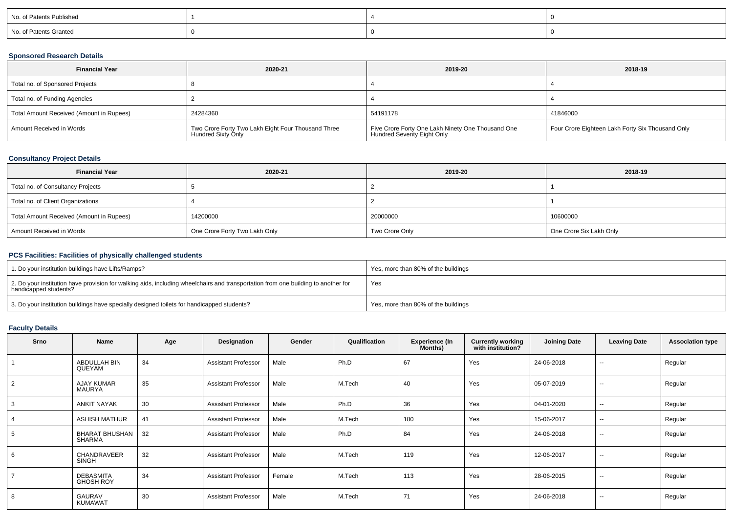| No. of Patents Published |  |  |
|--------------------------|--|--|
| No. of Patents Granted   |  |  |

### **Sponsored Research Details**

| <b>Financial Year</b>                    | 2020-21                                                                  | 2019-20                                                                         | 2018-19                                          |
|------------------------------------------|--------------------------------------------------------------------------|---------------------------------------------------------------------------------|--------------------------------------------------|
| Total no. of Sponsored Projects          |                                                                          |                                                                                 |                                                  |
| Total no. of Funding Agencies            |                                                                          |                                                                                 |                                                  |
| Total Amount Received (Amount in Rupees) | 24284360                                                                 | 54191178                                                                        | 41846000                                         |
| Amount Received in Words                 | Two Crore Forty Two Lakh Eight Four Thousand Three<br>Hundred Sixty Only | Five Crore Forty One Lakh Ninety One Thousand One<br>Hundred Seventy Eight Only | Four Crore Eighteen Lakh Forty Six Thousand Only |

## **Consultancy Project Details**

| <b>Financial Year</b>                    | 2020-21                       | 2019-20        | 2018-19                 |
|------------------------------------------|-------------------------------|----------------|-------------------------|
| Total no. of Consultancy Projects        |                               |                |                         |
| Total no. of Client Organizations        |                               |                |                         |
| Total Amount Received (Amount in Rupees) | 14200000                      | 20000000       | 10600000                |
| Amount Received in Words                 | One Crore Forty Two Lakh Only | Two Crore Only | One Crore Six Lakh Only |

# **PCS Facilities: Facilities of physically challenged students**

| 1. Do your institution buildings have Lifts/Ramps?                                                                                                         | Yes, more than 80% of the buildings |
|------------------------------------------------------------------------------------------------------------------------------------------------------------|-------------------------------------|
| 2. Do your institution have provision for walking aids, including wheelchairs and transportation from one building to another for<br>handicapped students? | Yes                                 |
| 3. Do your institution buildings have specially designed toilets for handicapped students?                                                                 | Yes, more than 80% of the buildings |

# **Faculty Details**

| <b>Srno</b>    | Name                                   | Age | Designation                | Gender | Qualification | <b>Experience (In</b><br>Months) | <b>Currently working</b><br>with institution? | <b>Joining Date</b> | <b>Leaving Date</b>      | <b>Association type</b> |
|----------------|----------------------------------------|-----|----------------------------|--------|---------------|----------------------------------|-----------------------------------------------|---------------------|--------------------------|-------------------------|
|                | ABDULLAH BIN<br>QUEYAM                 | 34  | <b>Assistant Professor</b> | Male   | Ph.D          | 67                               | Yes                                           | 24-06-2018          | $\overline{\phantom{a}}$ | Regular                 |
| $\overline{2}$ | AJAY KUMAR<br><b>MAURYA</b>            | 35  | <b>Assistant Professor</b> | Male   | M.Tech        | 40                               | Yes                                           | 05-07-2019          | $\sim$                   | Regular                 |
| 3              | <b>ANKIT NAYAK</b>                     | 30  | <b>Assistant Professor</b> | Male   | Ph.D          | 36                               | Yes                                           | 04-01-2020          | $\sim$                   | Regular                 |
|                | <b>ASHISH MATHUR</b>                   | 41  | <b>Assistant Professor</b> | Male   | M.Tech        | 180                              | Yes                                           | 15-06-2017          | $\sim$                   | Regular                 |
|                | <b>BHARAT BHUSHAN</b><br><b>SHARMA</b> | 32  | <b>Assistant Professor</b> | Male   | Ph.D          | 84                               | Yes                                           | 24-06-2018          | $\sim$                   | Regular                 |
| 6              | CHANDRAVEER<br><b>SINGH</b>            | 32  | <b>Assistant Professor</b> | Male   | M.Tech        | 119                              | Yes                                           | 12-06-2017          | --                       | Regular                 |
|                | <b>DEBASMITA</b><br><b>GHOSH ROY</b>   | 34  | <b>Assistant Professor</b> | Female | M.Tech        | 113                              | Yes                                           | 28-06-2015          | $\sim$                   | Regular                 |
| 8              | GAURAV<br><b>KUMAWAT</b>               | 30  | <b>Assistant Professor</b> | Male   | M.Tech        | 71                               | Yes                                           | 24-06-2018          | --                       | Regular                 |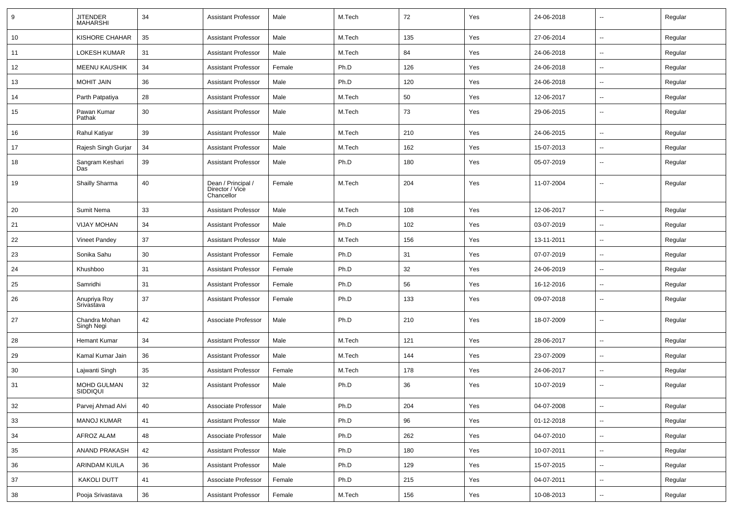| 9      | JITENDER<br>MAHARSHI        | 34 | <b>Assistant Professor</b>                          | Male   | M.Tech | 72  | Yes | 24-06-2018 | --                       | Regular |
|--------|-----------------------------|----|-----------------------------------------------------|--------|--------|-----|-----|------------|--------------------------|---------|
| 10     | <b>KISHORE CHAHAR</b>       | 35 | <b>Assistant Professor</b>                          | Male   | M.Tech | 135 | Yes | 27-06-2014 | $\sim$                   | Regular |
| 11     | <b>LOKESH KUMAR</b>         | 31 | <b>Assistant Professor</b>                          | Male   | M.Tech | 84  | Yes | 24-06-2018 | --                       | Regular |
| 12     | <b>MEENU KAUSHIK</b>        | 34 | <b>Assistant Professor</b>                          | Female | Ph.D   | 126 | Yes | 24-06-2018 | $\sim$                   | Regular |
| 13     | <b>MOHIT JAIN</b>           | 36 | <b>Assistant Professor</b>                          | Male   | Ph.D   | 120 | Yes | 24-06-2018 | $\overline{\phantom{a}}$ | Regular |
| 14     | Parth Patpatiya             | 28 | <b>Assistant Professor</b>                          | Male   | M.Tech | 50  | Yes | 12-06-2017 | --                       | Regular |
| 15     | Pawan Kumar<br>Pathak       | 30 | <b>Assistant Professor</b>                          | Male   | M.Tech | 73  | Yes | 29-06-2015 | $\overline{\phantom{a}}$ | Regular |
| 16     | Rahul Katiyar               | 39 | <b>Assistant Professor</b>                          | Male   | M.Tech | 210 | Yes | 24-06-2015 | $\sim$                   | Regular |
| 17     | Rajesh Singh Gurjar         | 34 | <b>Assistant Professor</b>                          | Male   | M.Tech | 162 | Yes | 15-07-2013 | $\overline{\phantom{a}}$ | Regular |
| 18     | Sangram Keshari<br>Das      | 39 | <b>Assistant Professor</b>                          | Male   | Ph.D   | 180 | Yes | 05-07-2019 | --                       | Regular |
| 19     | Shailly Sharma              | 40 | Dean / Principal /<br>Director / Vice<br>Chancellor | Female | M.Tech | 204 | Yes | 11-07-2004 | --                       | Regular |
| 20     | Sumit Nema                  | 33 | <b>Assistant Professor</b>                          | Male   | M.Tech | 108 | Yes | 12-06-2017 | $\sim$                   | Regular |
| 21     | <b>VIJAY MOHAN</b>          | 34 | <b>Assistant Professor</b>                          | Male   | Ph.D   | 102 | Yes | 03-07-2019 | --                       | Regular |
| 22     | Vineet Pandey               | 37 | <b>Assistant Professor</b>                          | Male   | M.Tech | 156 | Yes | 13-11-2011 | --                       | Regular |
| 23     | Sonika Sahu                 | 30 | <b>Assistant Professor</b>                          | Female | Ph.D   | 31  | Yes | 07-07-2019 | $\overline{a}$           | Regular |
| 24     | Khushboo                    | 31 | <b>Assistant Professor</b>                          | Female | Ph.D   | 32  | Yes | 24-06-2019 | --                       | Regular |
| 25     | Samridhi                    | 31 | <b>Assistant Professor</b>                          | Female | Ph.D   | 56  | Yes | 16-12-2016 | $\sim$                   | Regular |
| 26     | Anupriya Roy<br>Srivastava  | 37 | <b>Assistant Professor</b>                          | Female | Ph.D   | 133 | Yes | 09-07-2018 | $\overline{\phantom{a}}$ | Regular |
| 27     | Chandra Mohan<br>Singh Negi | 42 | Associate Professor                                 | Male   | Ph.D   | 210 | Yes | 18-07-2009 | $\sim$                   | Regular |
| 28     | <b>Hemant Kumar</b>         | 34 | <b>Assistant Professor</b>                          | Male   | M.Tech | 121 | Yes | 28-06-2017 | $\overline{\phantom{a}}$ | Regular |
| 29     | Kamal Kumar Jain            | 36 | <b>Assistant Professor</b>                          | Male   | M.Tech | 144 | Yes | 23-07-2009 | $\overline{\phantom{a}}$ | Regular |
| 30     | Lajwanti Singh              | 35 | Assistant Professor                                 | Female | M.Tech | 178 | Yes | 24-06-2017 | --                       | Regular |
| 31     | MOHD GULMAN<br>SIDDIQUI     | 32 | <b>Assistant Professor</b>                          | Male   | Ph.D   | 36  | Yes | 10-07-2019 | --                       | Regular |
| $32\,$ | Parvej Ahmad Alvi           | 40 | Associate Professor                                 | Male   | Ph.D   | 204 | Yes | 04-07-2008 | $\ddotsc$                | Regular |
| 33     | <b>MANOJ KUMAR</b>          | 41 | <b>Assistant Professor</b>                          | Male   | Ph.D   | 96  | Yes | 01-12-2018 | $\overline{\phantom{a}}$ | Regular |
| 34     | AFROZ ALAM                  | 48 | Associate Professor                                 | Male   | Ph.D   | 262 | Yes | 04-07-2010 | Ξ.                       | Regular |
| 35     | ANAND PRAKASH               | 42 | <b>Assistant Professor</b>                          | Male   | Ph.D   | 180 | Yes | 10-07-2011 | $\sim$                   | Regular |
| 36     | ARINDAM KUILA               | 36 | Assistant Professor                                 | Male   | Ph.D   | 129 | Yes | 15-07-2015 | $\sim$                   | Regular |
| 37     | <b>KAKOLI DUTT</b>          | 41 | Associate Professor                                 | Female | Ph.D   | 215 | Yes | 04-07-2011 | $\overline{\phantom{a}}$ | Regular |
| 38     | Pooja Srivastava            | 36 | <b>Assistant Professor</b>                          | Female | M.Tech | 156 | Yes | 10-08-2013 | $\overline{\phantom{a}}$ | Regular |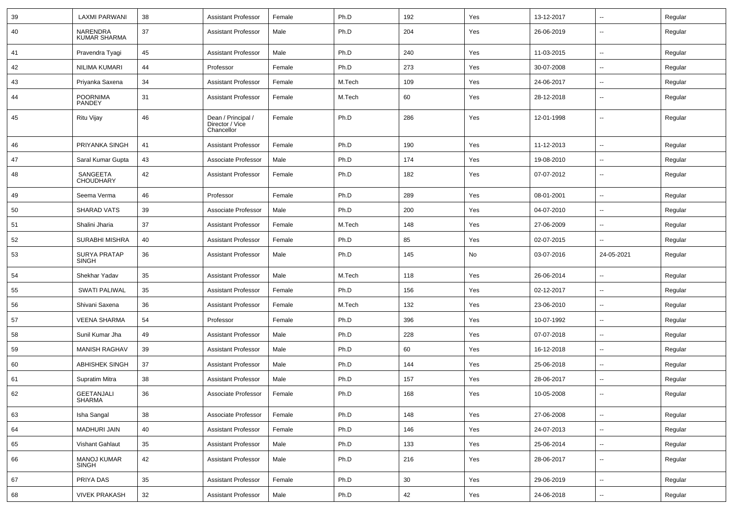| 39 | <b>LAXMI PARWANI</b>               | 38 | <b>Assistant Professor</b>                          | Female | Ph.D   | 192 | Yes | 13-12-2017 | $\sim$                   | Regular |
|----|------------------------------------|----|-----------------------------------------------------|--------|--------|-----|-----|------------|--------------------------|---------|
| 40 | NARENDRA<br><b>KUMAR SHARMA</b>    | 37 | <b>Assistant Professor</b>                          | Male   | Ph.D   | 204 | Yes | 26-06-2019 | $\overline{\phantom{a}}$ | Regular |
| 41 | Pravendra Tyagi                    | 45 | <b>Assistant Professor</b>                          | Male   | Ph.D   | 240 | Yes | 11-03-2015 | $\sim$                   | Regular |
| 42 | NILIMA KUMARI                      | 44 | Professor                                           | Female | Ph.D   | 273 | Yes | 30-07-2008 | $\overline{\phantom{a}}$ | Regular |
| 43 | Priyanka Saxena                    | 34 | <b>Assistant Professor</b>                          | Female | M.Tech | 109 | Yes | 24-06-2017 | $\overline{\phantom{a}}$ | Regular |
| 44 | <b>POORNIMA</b><br>PANDEY          | 31 | <b>Assistant Professor</b>                          | Female | M.Tech | 60  | Yes | 28-12-2018 | $\overline{a}$           | Regular |
| 45 | Ritu Vijay                         | 46 | Dean / Principal /<br>Director / Vice<br>Chancellor | Female | Ph.D   | 286 | Yes | 12-01-1998 | $\overline{\phantom{a}}$ | Regular |
| 46 | PRIYANKA SINGH                     | 41 | <b>Assistant Professor</b>                          | Female | Ph.D   | 190 | Yes | 11-12-2013 | $\overline{\phantom{a}}$ | Regular |
| 47 | Saral Kumar Gupta                  | 43 | Associate Professor                                 | Male   | Ph.D   | 174 | Yes | 19-08-2010 | $\overline{\phantom{a}}$ | Regular |
| 48 | SANGEETA<br><b>CHOUDHARY</b>       | 42 | <b>Assistant Professor</b>                          | Female | Ph.D   | 182 | Yes | 07-07-2012 | $\sim$                   | Regular |
| 49 | Seema Verma                        | 46 | Professor                                           | Female | Ph.D   | 289 | Yes | 08-01-2001 | $\sim$                   | Regular |
| 50 | <b>SHARAD VATS</b>                 | 39 | Associate Professor                                 | Male   | Ph.D   | 200 | Yes | 04-07-2010 | $\sim$                   | Regular |
| 51 | Shalini Jharia                     | 37 | <b>Assistant Professor</b>                          | Female | M.Tech | 148 | Yes | 27-06-2009 | $\overline{\phantom{a}}$ | Regular |
| 52 | <b>SURABHI MISHRA</b>              | 40 | <b>Assistant Professor</b>                          | Female | Ph.D   | 85  | Yes | 02-07-2015 | --                       | Regular |
| 53 | <b>SURYA PRATAP</b><br>SINGH       | 36 | <b>Assistant Professor</b>                          | Male   | Ph.D   | 145 | No  | 03-07-2016 | 24-05-2021               | Regular |
| 54 | Shekhar Yadav                      | 35 | <b>Assistant Professor</b>                          | Male   | M.Tech | 118 | Yes | 26-06-2014 | $\overline{\phantom{a}}$ | Regular |
| 55 | <b>SWATI PALIWAL</b>               | 35 | <b>Assistant Professor</b>                          | Female | Ph.D   | 156 | Yes | 02-12-2017 | $\overline{\phantom{a}}$ | Regular |
| 56 | Shivani Saxena                     | 36 | <b>Assistant Professor</b>                          | Female | M.Tech | 132 | Yes | 23-06-2010 | $\overline{\phantom{a}}$ | Regular |
| 57 | <b>VEENA SHARMA</b>                | 54 | Professor                                           | Female | Ph.D   | 396 | Yes | 10-07-1992 | $\sim$                   | Regular |
| 58 | Sunil Kumar Jha                    | 49 | <b>Assistant Professor</b>                          | Male   | Ph.D   | 228 | Yes | 07-07-2018 | $\sim$                   | Regular |
| 59 | <b>MANISH RAGHAV</b>               | 39 | <b>Assistant Professor</b>                          | Male   | Ph.D   | 60  | Yes | 16-12-2018 | $\mathbf{u}$             | Regular |
| 60 | ABHISHEK SINGH                     | 37 | <b>Assistant Professor</b>                          | Male   | Ph.D   | 144 | Yes | 25-06-2018 | $\sim$                   | Regular |
| 61 | Supratim Mitra                     | 38 | <b>Assistant Professor</b>                          | Male   | Ph.D   | 157 | Yes | 28-06-2017 | $\overline{\phantom{a}}$ | Regular |
| 62 | GEETANJALI<br>SHARMA               | 36 | Associate Professor                                 | Female | Ph.D   | 168 | Yes | 10-05-2008 | $\mathbf{u}$             | Regular |
| 63 | Isha Sangal                        | 38 | Associate Professor                                 | Female | Ph.D   | 148 | Yes | 27-06-2008 | $\sim$                   | Regular |
| 64 | <b>MADHURI JAIN</b>                | 40 | <b>Assistant Professor</b>                          | Female | Ph.D   | 146 | Yes | 24-07-2013 | $\sim$                   | Regular |
| 65 | Vishant Gahlaut                    | 35 | <b>Assistant Professor</b>                          | Male   | Ph.D   | 133 | Yes | 25-06-2014 | $\sim$                   | Regular |
| 66 | <b>MANOJ KUMAR</b><br><b>SINGH</b> | 42 | <b>Assistant Professor</b>                          | Male   | Ph.D   | 216 | Yes | 28-06-2017 | $\sim$                   | Regular |
| 67 | PRIYA DAS                          | 35 | <b>Assistant Professor</b>                          | Female | Ph.D   | 30  | Yes | 29-06-2019 | $\overline{\phantom{a}}$ | Regular |
| 68 | <b>VIVEK PRAKASH</b>               | 32 | <b>Assistant Professor</b>                          | Male   | Ph.D   | 42  | Yes | 24-06-2018 | $\sim$                   | Regular |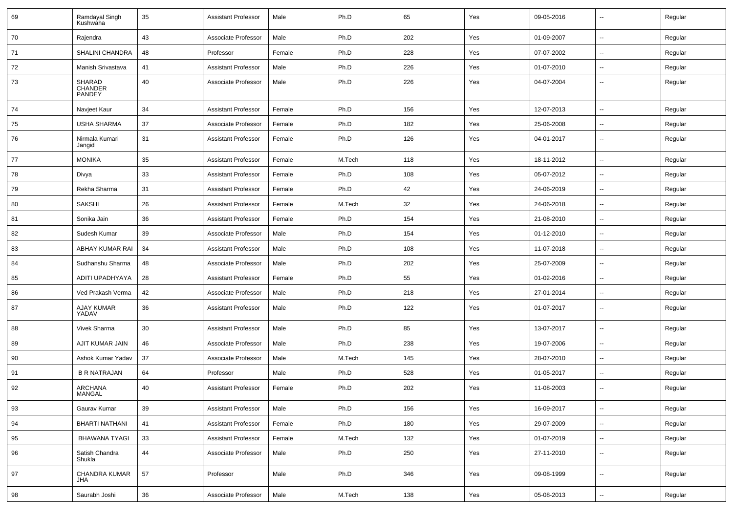| 69 | Ramdayal Singh<br>Kushwaha  | 35 | <b>Assistant Professor</b> | Male   | Ph.D   | 65  | Yes | 09-05-2016 | $\overline{\phantom{a}}$ | Regular |
|----|-----------------------------|----|----------------------------|--------|--------|-----|-----|------------|--------------------------|---------|
| 70 | Rajendra                    | 43 | Associate Professor        | Male   | Ph.D   | 202 | Yes | 01-09-2007 | $\overline{\phantom{a}}$ | Regular |
| 71 | SHALINI CHANDRA             | 48 | Professor                  | Female | Ph.D   | 228 | Yes | 07-07-2002 | н.                       | Regular |
| 72 | Manish Srivastava           | 41 | <b>Assistant Professor</b> | Male   | Ph.D   | 226 | Yes | 01-07-2010 | --                       | Regular |
| 73 | SHARAD<br>CHANDER<br>PANDEY | 40 | Associate Professor        | Male   | Ph.D   | 226 | Yes | 04-07-2004 | --                       | Regular |
| 74 | Navjeet Kaur                | 34 | <b>Assistant Professor</b> | Female | Ph.D   | 156 | Yes | 12-07-2013 | $\overline{\phantom{a}}$ | Regular |
| 75 | <b>USHA SHARMA</b>          | 37 | Associate Professor        | Female | Ph.D   | 182 | Yes | 25-06-2008 | --                       | Regular |
| 76 | Nirmala Kumari<br>Jangid    | 31 | <b>Assistant Professor</b> | Female | Ph.D   | 126 | Yes | 04-01-2017 | --                       | Regular |
| 77 | <b>MONIKA</b>               | 35 | <b>Assistant Professor</b> | Female | M.Tech | 118 | Yes | 18-11-2012 | --                       | Regular |
| 78 | Divya                       | 33 | <b>Assistant Professor</b> | Female | Ph.D   | 108 | Yes | 05-07-2012 | $\overline{\phantom{a}}$ | Regular |
| 79 | Rekha Sharma                | 31 | <b>Assistant Professor</b> | Female | Ph.D   | 42  | Yes | 24-06-2019 | $\overline{\phantom{a}}$ | Regular |
| 80 | <b>SAKSHI</b>               | 26 | <b>Assistant Professor</b> | Female | M.Tech | 32  | Yes | 24-06-2018 | ⊷.                       | Regular |
| 81 | Sonika Jain                 | 36 | <b>Assistant Professor</b> | Female | Ph.D   | 154 | Yes | 21-08-2010 | $\overline{\phantom{a}}$ | Regular |
| 82 | Sudesh Kumar                | 39 | Associate Professor        | Male   | Ph.D   | 154 | Yes | 01-12-2010 | --                       | Regular |
| 83 | ABHAY KUMAR RAI             | 34 | <b>Assistant Professor</b> | Male   | Ph.D   | 108 | Yes | 11-07-2018 | --                       | Regular |
| 84 | Sudhanshu Sharma            | 48 | Associate Professor        | Male   | Ph.D   | 202 | Yes | 25-07-2009 | --                       | Regular |
| 85 | ADITI UPADHYAYA             | 28 | <b>Assistant Professor</b> | Female | Ph.D   | 55  | Yes | 01-02-2016 | $\overline{\phantom{a}}$ | Regular |
| 86 | Ved Prakash Verma           | 42 | Associate Professor        | Male   | Ph.D   | 218 | Yes | 27-01-2014 | $\overline{\phantom{a}}$ | Regular |
| 87 | AJAY KUMAR<br>YADAV         | 36 | <b>Assistant Professor</b> | Male   | Ph.D   | 122 | Yes | 01-07-2017 | --                       | Regular |
| 88 | Vivek Sharma                | 30 | <b>Assistant Professor</b> | Male   | Ph.D   | 85  | Yes | 13-07-2017 | --                       | Regular |
| 89 | AJIT KUMAR JAIN             | 46 | Associate Professor        | Male   | Ph.D   | 238 | Yes | 19-07-2006 | --                       | Regular |
| 90 | Ashok Kumar Yadav           | 37 | Associate Professor        | Male   | M.Tech | 145 | Yes | 28-07-2010 | -−                       | Regular |
| 91 | <b>B R NATRAJAN</b>         | 64 | Professor                  | Male   | Ph.D   | 528 | Yes | 01-05-2017 | --                       | Regular |
| 92 | <b>ARCHANA</b><br>MANGAL    | 40 | <b>Assistant Professor</b> | Female | Ph.D   | 202 | Yes | 11-08-2003 | $\overline{\phantom{a}}$ | Regular |
| 93 | Gaurav Kumar                | 39 | <b>Assistant Professor</b> | Male   | Ph.D   | 156 | Yes | 16-09-2017 | $\sim$                   | Regular |
| 94 | <b>BHARTI NATHANI</b>       | 41 | <b>Assistant Professor</b> | Female | Ph.D   | 180 | Yes | 29-07-2009 | $\overline{\phantom{a}}$ | Regular |
| 95 | <b>BHAWANA TYAGI</b>        | 33 | <b>Assistant Professor</b> | Female | M.Tech | 132 | Yes | 01-07-2019 | $\overline{\phantom{a}}$ | Regular |
| 96 | Satish Chandra<br>Shukla    | 44 | Associate Professor        | Male   | Ph.D   | 250 | Yes | 27-11-2010 | ⊶.                       | Regular |
| 97 | CHANDRA KUMAR<br><b>JHA</b> | 57 | Professor                  | Male   | Ph.D   | 346 | Yes | 09-08-1999 | Ξ.                       | Regular |
| 98 | Saurabh Joshi               | 36 | Associate Professor        | Male   | M.Tech | 138 | Yes | 05-08-2013 | ⊶.                       | Regular |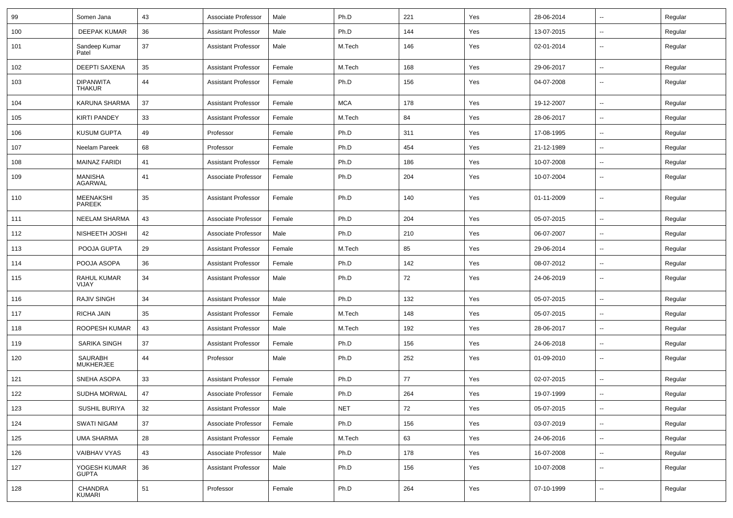| 99  | Somen Jana                        | 43 | Associate Professor        | Male   | Ph.D       | 221 | Yes | 28-06-2014 | $\overline{\phantom{a}}$ | Regular |
|-----|-----------------------------------|----|----------------------------|--------|------------|-----|-----|------------|--------------------------|---------|
| 100 | <b>DEEPAK KUMAR</b>               | 36 | <b>Assistant Professor</b> | Male   | Ph.D       | 144 | Yes | 13-07-2015 | --                       | Regular |
| 101 | Sandeep Kumar<br>Patel            | 37 | <b>Assistant Professor</b> | Male   | M.Tech     | 146 | Yes | 02-01-2014 | --                       | Regular |
| 102 | <b>DEEPTI SAXENA</b>              | 35 | <b>Assistant Professor</b> | Female | M.Tech     | 168 | Yes | 29-06-2017 | --                       | Regular |
| 103 | <b>DIPANWITA</b><br><b>THAKUR</b> | 44 | <b>Assistant Professor</b> | Female | Ph.D       | 156 | Yes | 04-07-2008 | --                       | Regular |
| 104 | KARUNA SHARMA                     | 37 | <b>Assistant Professor</b> | Female | <b>MCA</b> | 178 | Yes | 19-12-2007 | --                       | Regular |
| 105 | <b>KIRTI PANDEY</b>               | 33 | <b>Assistant Professor</b> | Female | M.Tech     | 84  | Yes | 28-06-2017 | --                       | Regular |
| 106 | <b>KUSUM GUPTA</b>                | 49 | Professor                  | Female | Ph.D       | 311 | Yes | 17-08-1995 | $\overline{\phantom{a}}$ | Regular |
| 107 | Neelam Pareek                     | 68 | Professor                  | Female | Ph.D       | 454 | Yes | 21-12-1989 | $\overline{\phantom{a}}$ | Regular |
| 108 | <b>MAINAZ FARIDI</b>              | 41 | Assistant Professor        | Female | Ph.D       | 186 | Yes | 10-07-2008 | --                       | Regular |
| 109 | <b>MANISHA</b><br><b>AGARWAL</b>  | 41 | Associate Professor        | Female | Ph.D       | 204 | Yes | 10-07-2004 | --                       | Regular |
| 110 | <b>MEENAKSHI</b><br><b>PAREEK</b> | 35 | <b>Assistant Professor</b> | Female | Ph.D       | 140 | Yes | 01-11-2009 | --                       | Regular |
| 111 | <b>NEELAM SHARMA</b>              | 43 | Associate Professor        | Female | Ph.D       | 204 | Yes | 05-07-2015 | --                       | Regular |
| 112 | NISHEETH JOSHI                    | 42 | Associate Professor        | Male   | Ph.D       | 210 | Yes | 06-07-2007 | --                       | Regular |
| 113 | POOJA GUPTA                       | 29 | <b>Assistant Professor</b> | Female | M.Tech     | 85  | Yes | 29-06-2014 | --                       | Regular |
| 114 | POOJA ASOPA                       | 36 | <b>Assistant Professor</b> | Female | Ph.D       | 142 | Yes | 08-07-2012 | $\overline{\phantom{a}}$ | Regular |
| 115 | RAHUL KUMAR<br>VIJAY              | 34 | <b>Assistant Professor</b> | Male   | Ph.D       | 72  | Yes | 24-06-2019 | $\overline{\phantom{a}}$ | Regular |
| 116 | <b>RAJIV SINGH</b>                | 34 | <b>Assistant Professor</b> | Male   | Ph.D       | 132 | Yes | 05-07-2015 | $\overline{\phantom{a}}$ | Regular |
| 117 | RICHA JAIN                        | 35 | Assistant Professor        | Female | M.Tech     | 148 | Yes | 05-07-2015 | --                       | Regular |
| 118 | ROOPESH KUMAR                     | 43 | <b>Assistant Professor</b> | Male   | M.Tech     | 192 | Yes | 28-06-2017 | $\overline{\phantom{a}}$ | Regular |
| 119 | SARIKA SINGH                      | 37 | <b>Assistant Professor</b> | Female | Ph.D       | 156 | Yes | 24-06-2018 | --                       | Regular |
| 120 | SAURABH<br>MUKHERJEE              | 44 | Professor                  | Male   | Ph.D       | 252 | Yes | 01-09-2010 | --                       | Regular |
| 121 | SNEHA ASOPA                       | 33 | Assistant Professor        | Female | Ph.D       | 77  | Yes | 02-07-2015 | $\overline{\phantom{a}}$ | Regular |
| 122 | SUDHA MORWAL                      | 47 | Associate Professor        | Female | Ph.D       | 264 | Yes | 19-07-1999 | $\overline{\phantom{a}}$ | Regular |
| 123 | SUSHIL BURIYA                     | 32 | <b>Assistant Professor</b> | Male   | <b>NET</b> | 72  | Yes | 05-07-2015 | $\sim$                   | Regular |
| 124 | SWATI NIGAM                       | 37 | Associate Professor        | Female | Ph.D       | 156 | Yes | 03-07-2019 | $\sim$                   | Regular |
| 125 | <b>UMA SHARMA</b>                 | 28 | <b>Assistant Professor</b> | Female | M.Tech     | 63  | Yes | 24-06-2016 | Щ,                       | Regular |
| 126 | VAIBHAV VYAS                      | 43 | Associate Professor        | Male   | Ph.D       | 178 | Yes | 16-07-2008 | $\sim$                   | Regular |
| 127 | YOGESH KUMAR<br><b>GUPTA</b>      | 36 | <b>Assistant Professor</b> | Male   | Ph.D       | 156 | Yes | 10-07-2008 | Ξ.                       | Regular |
| 128 | CHANDRA<br>KUMARI                 | 51 | Professor                  | Female | Ph.D       | 264 | Yes | 07-10-1999 | $\overline{\phantom{a}}$ | Regular |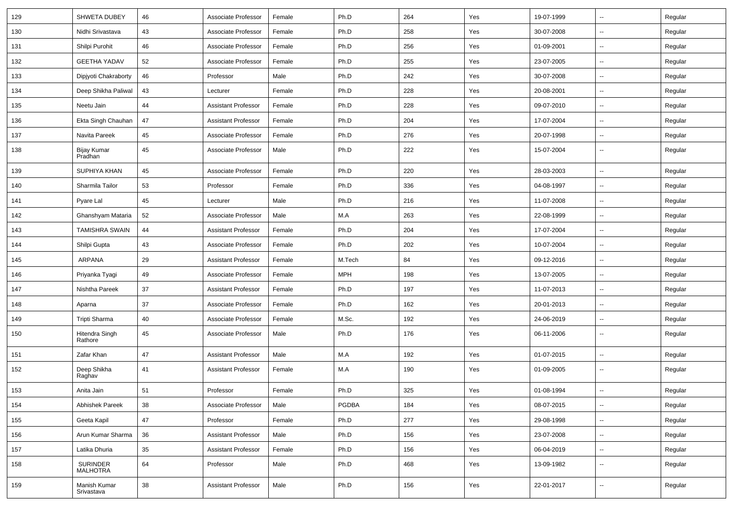| 129 | <b>SHWETA DUBEY</b>        | 46 | Associate Professor        | Female | Ph.D       | 264 | Yes | 19-07-1999 | $\overline{\phantom{a}}$ | Regular |
|-----|----------------------------|----|----------------------------|--------|------------|-----|-----|------------|--------------------------|---------|
| 130 | Nidhi Srivastava           | 43 | Associate Professor        | Female | Ph.D       | 258 | Yes | 30-07-2008 | -−                       | Regular |
| 131 | Shilpi Purohit             | 46 | Associate Professor        | Female | Ph.D       | 256 | Yes | 01-09-2001 | $\overline{\phantom{a}}$ | Regular |
| 132 | <b>GEETHA YADAV</b>        | 52 | Associate Professor        | Female | Ph.D       | 255 | Yes | 23-07-2005 | --                       | Regular |
| 133 | Dipjyoti Chakraborty       | 46 | Professor                  | Male   | Ph.D       | 242 | Yes | 30-07-2008 | -−                       | Regular |
| 134 | Deep Shikha Paliwal        | 43 | Lecturer                   | Female | Ph.D       | 228 | Yes | 20-08-2001 | Ξ.                       | Regular |
| 135 | Neetu Jain                 | 44 | <b>Assistant Professor</b> | Female | Ph.D       | 228 | Yes | 09-07-2010 | $\sim$                   | Regular |
| 136 | Ekta Singh Chauhan         | 47 | <b>Assistant Professor</b> | Female | Ph.D       | 204 | Yes | 17-07-2004 | -−                       | Regular |
| 137 | Navita Pareek              | 45 | Associate Professor        | Female | Ph.D       | 276 | Yes | 20-07-1998 | $\overline{\phantom{a}}$ | Regular |
| 138 | Bijay Kumar<br>Pradhan     | 45 | Associate Professor        | Male   | Ph.D       | 222 | Yes | 15-07-2004 | --                       | Regular |
| 139 | SUPHIYA KHAN               | 45 | Associate Professor        | Female | Ph.D       | 220 | Yes | 28-03-2003 | ۵.                       | Regular |
| 140 | Sharmila Tailor            | 53 | Professor                  | Female | Ph.D       | 336 | Yes | 04-08-1997 | --                       | Regular |
| 141 | Pyare Lal                  | 45 | Lecturer                   | Male   | Ph.D       | 216 | Yes | 11-07-2008 | $\sim$                   | Regular |
| 142 | Ghanshyam Mataria          | 52 | Associate Professor        | Male   | M.A        | 263 | Yes | 22-08-1999 | $\overline{\phantom{a}}$ | Regular |
| 143 | <b>TAMISHRA SWAIN</b>      | 44 | <b>Assistant Professor</b> | Female | Ph.D       | 204 | Yes | 17-07-2004 | $\overline{\phantom{a}}$ | Regular |
| 144 | Shilpi Gupta               | 43 | Associate Professor        | Female | Ph.D       | 202 | Yes | 10-07-2004 | -−                       | Regular |
| 145 | <b>ARPANA</b>              | 29 | <b>Assistant Professor</b> | Female | M.Tech     | 84  | Yes | 09-12-2016 | $\overline{a}$           | Regular |
| 146 | Priyanka Tyagi             | 49 | Associate Professor        | Female | <b>MPH</b> | 198 | Yes | 13-07-2005 | -−                       | Regular |
| 147 | Nishtha Pareek             | 37 | <b>Assistant Professor</b> | Female | Ph.D       | 197 | Yes | 11-07-2013 | $\sim$                   | Regular |
| 148 | Aparna                     | 37 | Associate Professor        | Female | Ph.D       | 162 | Yes | 20-01-2013 | $\sim$                   | Regular |
| 149 | Tripti Sharma              | 40 | Associate Professor        | Female | M.Sc.      | 192 | Yes | 24-06-2019 | -−                       | Regular |
| 150 | Hitendra Singh<br>Rathore  | 45 | Associate Professor        | Male   | Ph.D       | 176 | Yes | 06-11-2006 | $\overline{\phantom{a}}$ | Regular |
| 151 | Zafar Khan                 | 47 | <b>Assistant Professor</b> | Male   | M.A        | 192 | Yes | 01-07-2015 | Ξ.                       | Regular |
| 152 | Deep Shikha<br>Raghav      | 41 | <b>Assistant Professor</b> | Female | M.A        | 190 | Yes | 01-09-2005 | $\overline{\phantom{a}}$ | Regular |
| 153 | Anita Jain                 | 51 | Professor                  | Female | Ph.D       | 325 | Yes | 01-08-1994 |                          | Regular |
| 154 | Abhishek Pareek            | 38 | Associate Professor        | Male   | PGDBA      | 184 | Yes | 08-07-2015 | Ξ.                       | Regular |
| 155 | Geeta Kapil                | 47 | Professor                  | Female | Ph.D       | 277 | Yes | 29-08-1998 | $\overline{\phantom{a}}$ | Regular |
| 156 | Arun Kumar Sharma          | 36 | <b>Assistant Professor</b> | Male   | Ph.D       | 156 | Yes | 23-07-2008 | $\overline{\phantom{a}}$ | Regular |
| 157 | Latika Dhuria              | 35 | <b>Assistant Professor</b> | Female | Ph.D       | 156 | Yes | 06-04-2019 | $\sim$                   | Regular |
| 158 | SURINDER<br>MALHOTRA       | 64 | Professor                  | Male   | Ph.D       | 468 | Yes | 13-09-1982 | Ξ.                       | Regular |
| 159 | Manish Kumar<br>Srivastava | 38 | <b>Assistant Professor</b> | Male   | Ph.D       | 156 | Yes | 22-01-2017 | $\sim$                   | Regular |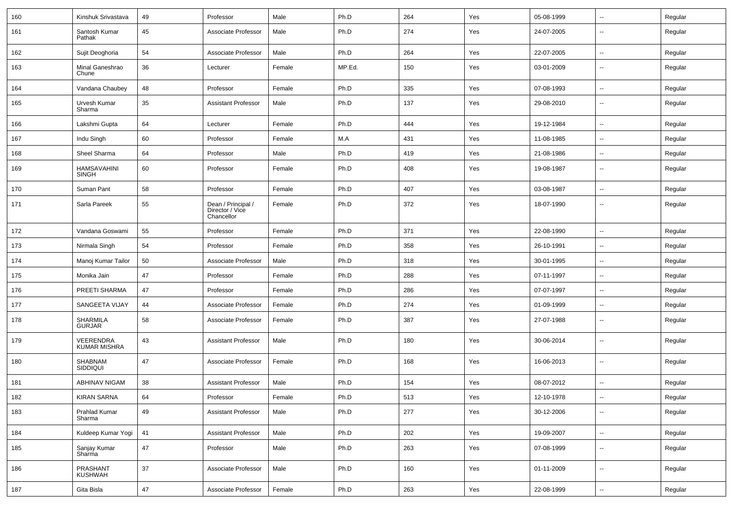| 160 | Kinshuk Srivastava                 | 49     | Professor                                           | Male   | Ph.D   | 264 | Yes | 05-08-1999 | $\sim$                   | Regular |
|-----|------------------------------------|--------|-----------------------------------------------------|--------|--------|-----|-----|------------|--------------------------|---------|
| 161 | Santosh Kumar<br>Pathak            | 45     | Associate Professor                                 | Male   | Ph.D   | 274 | Yes | 24-07-2005 | $\sim$                   | Regular |
| 162 | Sujit Deoghoria                    | 54     | Associate Professor                                 | Male   | Ph.D   | 264 | Yes | 22-07-2005 | $\sim$                   | Regular |
| 163 | Minal Ganeshrao<br>Chune           | 36     | Lecturer                                            | Female | MP.Ed. | 150 | Yes | 03-01-2009 | $\overline{\phantom{a}}$ | Regular |
| 164 | Vandana Chaubey                    | 48     | Professor                                           | Female | Ph.D   | 335 | Yes | 07-08-1993 | --                       | Regular |
| 165 | Urvesh Kumar<br>Sharma             | 35     | <b>Assistant Professor</b>                          | Male   | Ph.D   | 137 | Yes | 29-08-2010 | $\overline{\phantom{a}}$ | Regular |
| 166 | Lakshmi Gupta                      | 64     | Lecturer                                            | Female | Ph.D   | 444 | Yes | 19-12-1984 | $\sim$                   | Regular |
| 167 | Indu Singh                         | 60     | Professor                                           | Female | M.A    | 431 | Yes | 11-08-1985 | $\sim$                   | Regular |
| 168 | Sheel Sharma                       | 64     | Professor                                           | Male   | Ph.D   | 419 | Yes | 21-08-1986 | $\sim$                   | Regular |
| 169 | <b>HAMSAVAHINI</b><br><b>SINGH</b> | 60     | Professor                                           | Female | Ph.D   | 408 | Yes | 19-08-1987 | $\overline{\phantom{a}}$ | Regular |
| 170 | Suman Pant                         | 58     | Professor                                           | Female | Ph.D   | 407 | Yes | 03-08-1987 | $\sim$                   | Regular |
| 171 | Sarla Pareek                       | 55     | Dean / Principal /<br>Director / Vice<br>Chancellor | Female | Ph.D   | 372 | Yes | 18-07-1990 | $\sim$                   | Regular |
| 172 | Vandana Goswami                    | 55     | Professor                                           | Female | Ph.D   | 371 | Yes | 22-08-1990 | ⊷.                       | Regular |
| 173 | Nirmala Singh                      | 54     | Professor                                           | Female | Ph.D   | 358 | Yes | 26-10-1991 | $\sim$                   | Regular |
| 174 | Manoj Kumar Tailor                 | 50     | Associate Professor                                 | Male   | Ph.D   | 318 | Yes | 30-01-1995 | $\overline{\phantom{a}}$ | Regular |
| 175 | Monika Jain                        | 47     | Professor                                           | Female | Ph.D   | 288 | Yes | 07-11-1997 | $\overline{\phantom{a}}$ | Regular |
| 176 | PREETI SHARMA                      | 47     | Professor                                           | Female | Ph.D   | 286 | Yes | 07-07-1997 | $\sim$                   | Regular |
| 177 | SANGEETA VIJAY                     | 44     | Associate Professor                                 | Female | Ph.D   | 274 | Yes | 01-09-1999 | $\sim$                   | Regular |
| 178 | SHARMILA<br><b>GURJAR</b>          | 58     | Associate Professor                                 | Female | Ph.D   | 387 | Yes | 27-07-1988 | $\sim$                   | Regular |
| 179 | VEERENDRA<br><b>KUMAR MISHRA</b>   | 43     | <b>Assistant Professor</b>                          | Male   | Ph.D   | 180 | Yes | 30-06-2014 | $\sim$                   | Regular |
| 180 | SHABNAM<br><b>SIDDIQUI</b>         | 47     | Associate Professor                                 | Female | Ph.D   | 168 | Yes | 16-06-2013 | $\sim$                   | Regular |
| 181 | <b>ABHINAV NIGAM</b>               | 38     | <b>Assistant Professor</b>                          | Male   | Ph.D   | 154 | Yes | 08-07-2012 | ⊶.                       | Regular |
| 182 | <b>KIRAN SARNA</b>                 | 64     | Professor                                           | Female | Ph.D   | 513 | Yes | 12-10-1978 | $\sim$                   | Regular |
| 183 | Prahlad Kumar<br>Sharma            | 49     | <b>Assistant Professor</b>                          | Male   | Ph.D   | 277 | Yes | 30-12-2006 | Щ,                       | Regular |
| 184 | Kuldeep Kumar Yogi                 | 41     | <b>Assistant Professor</b>                          | Male   | Ph.D   | 202 | Yes | 19-09-2007 | $\sim$                   | Regular |
| 185 | Sanjay Kumar<br>Sharma             | $47\,$ | Professor                                           | Male   | Ph.D   | 263 | Yes | 07-08-1999 | $\overline{\phantom{a}}$ | Regular |
| 186 | PRASHANT<br><b>KUSHWAH</b>         | $37\,$ | Associate Professor                                 | Male   | Ph.D   | 160 | Yes | 01-11-2009 | Ξ.                       | Regular |
| 187 | Gita Bisla                         | $47\,$ | Associate Professor                                 | Female | Ph.D   | 263 | Yes | 22-08-1999 | Щ,                       | Regular |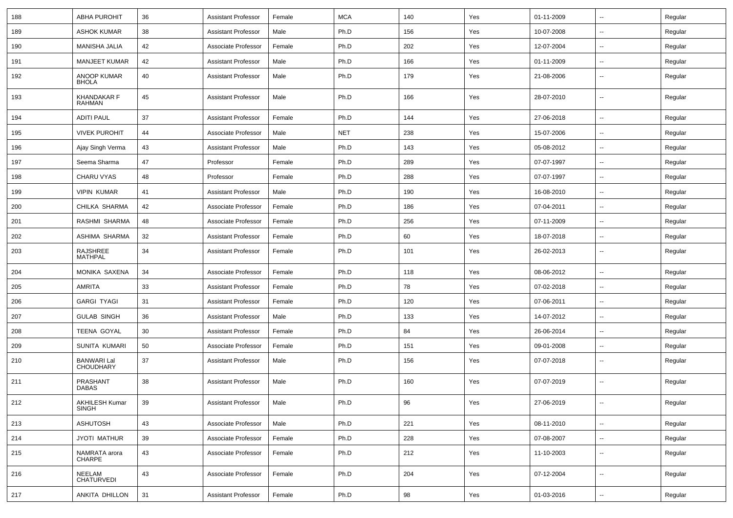| 188 | <b>ABHA PUROHIT</b>                    | 36 | <b>Assistant Professor</b> | Female | <b>MCA</b> | 140 | Yes | 01-11-2009 | $\overline{\phantom{a}}$ | Regular |
|-----|----------------------------------------|----|----------------------------|--------|------------|-----|-----|------------|--------------------------|---------|
| 189 | <b>ASHOK KUMAR</b>                     | 38 | <b>Assistant Professor</b> | Male   | Ph.D       | 156 | Yes | 10-07-2008 | --                       | Regular |
| 190 | MANISHA JALIA                          | 42 | Associate Professor        | Female | Ph.D       | 202 | Yes | 12-07-2004 | $\overline{\phantom{a}}$ | Regular |
| 191 | <b>MANJEET KUMAR</b>                   | 42 | <b>Assistant Professor</b> | Male   | Ph.D       | 166 | Yes | 01-11-2009 | --                       | Regular |
| 192 | <b>ANOOP KUMAR</b><br><b>BHOLA</b>     | 40 | <b>Assistant Professor</b> | Male   | Ph.D       | 179 | Yes | 21-08-2006 | --                       | Regular |
| 193 | <b>KHANDAKAR F</b><br><b>RAHMAN</b>    | 45 | <b>Assistant Professor</b> | Male   | Ph.D       | 166 | Yes | 28-07-2010 | --                       | Regular |
| 194 | <b>ADITI PAUL</b>                      | 37 | <b>Assistant Professor</b> | Female | Ph.D       | 144 | Yes | 27-06-2018 | $\overline{\phantom{a}}$ | Regular |
| 195 | <b>VIVEK PUROHIT</b>                   | 44 | Associate Professor        | Male   | <b>NET</b> | 238 | Yes | 15-07-2006 | $\overline{\phantom{a}}$ | Regular |
| 196 | Ajay Singh Verma                       | 43 | <b>Assistant Professor</b> | Male   | Ph.D       | 143 | Yes | 05-08-2012 | $\overline{\phantom{a}}$ | Regular |
| 197 | Seema Sharma                           | 47 | Professor                  | Female | Ph.D       | 289 | Yes | 07-07-1997 | --                       | Regular |
| 198 | CHARU VYAS                             | 48 | Professor                  | Female | Ph.D       | 288 | Yes | 07-07-1997 | ⊷.                       | Regular |
| 199 | <b>VIPIN KUMAR</b>                     | 41 | <b>Assistant Professor</b> | Male   | Ph.D       | 190 | Yes | 16-08-2010 | $\overline{\phantom{a}}$ | Regular |
| 200 | CHILKA SHARMA                          | 42 | Associate Professor        | Female | Ph.D       | 186 | Yes | 07-04-2011 | --                       | Regular |
| 201 | RASHMI SHARMA                          | 48 | Associate Professor        | Female | Ph.D       | 256 | Yes | 07-11-2009 | $\overline{\phantom{a}}$ | Regular |
| 202 | ASHIMA SHARMA                          | 32 | <b>Assistant Professor</b> | Female | Ph.D       | 60  | Yes | 18-07-2018 | $\overline{\phantom{a}}$ | Regular |
| 203 | RAJSHREE<br><b>MATHPAL</b>             | 34 | <b>Assistant Professor</b> | Female | Ph.D       | 101 | Yes | 26-02-2013 | --                       | Regular |
| 204 | MONIKA SAXENA                          | 34 | Associate Professor        | Female | Ph.D       | 118 | Yes | 08-06-2012 | -−                       | Regular |
| 205 | AMRITA                                 | 33 | <b>Assistant Professor</b> | Female | Ph.D       | 78  | Yes | 07-02-2018 | $\overline{\phantom{a}}$ | Regular |
| 206 | <b>GARGI TYAGI</b>                     | 31 | <b>Assistant Professor</b> | Female | Ph.D       | 120 | Yes | 07-06-2011 | --                       | Regular |
| 207 | <b>GULAB SINGH</b>                     | 36 | <b>Assistant Professor</b> | Male   | Ph.D       | 133 | Yes | 14-07-2012 | --                       | Regular |
| 208 | TEENA GOYAL                            | 30 | <b>Assistant Professor</b> | Female | Ph.D       | 84  | Yes | 26-06-2014 | $\overline{\phantom{a}}$ | Regular |
| 209 | SUNITA KUMARI                          | 50 | Associate Professor        | Female | Ph.D       | 151 | Yes | 09-01-2008 | ⊷.                       | Regular |
| 210 | <b>BANWARI Lal</b><br><b>CHOUDHARY</b> | 37 | <b>Assistant Professor</b> | Male   | Ph.D       | 156 | Yes | 07-07-2018 | --                       | Regular |
| 211 | PRASHANT<br><b>DABAS</b>               | 38 | <b>Assistant Professor</b> | Male   | Ph.D       | 160 | Yes | 07-07-2019 | $\overline{\phantom{a}}$ | Regular |
| 212 | AKHILESH Kumar<br><b>SINGH</b>         | 39 | <b>Assistant Professor</b> | Male   | Ph.D       | 96  | Yes | 27-06-2019 | $\sim$                   | Regular |
| 213 | <b>ASHUTOSH</b>                        | 43 | Associate Professor        | Male   | Ph.D       | 221 | Yes | 08-11-2010 | $\sim$                   | Regular |
| 214 | <b>JYOTI MATHUR</b>                    | 39 | Associate Professor        | Female | Ph.D       | 228 | Yes | 07-08-2007 | $\sim$                   | Regular |
| 215 | NAMRATA arora<br>CHARPE                | 43 | Associate Professor        | Female | Ph.D       | 212 | Yes | 11-10-2003 | $\overline{\phantom{a}}$ | Regular |
| 216 | NEELAM<br>CHATURVEDI                   | 43 | Associate Professor        | Female | Ph.D       | 204 | Yes | 07-12-2004 | ⊷.                       | Regular |
| 217 | ANKITA DHILLON                         | 31 | <b>Assistant Professor</b> | Female | Ph.D       | 98  | Yes | 01-03-2016 | н.                       | Regular |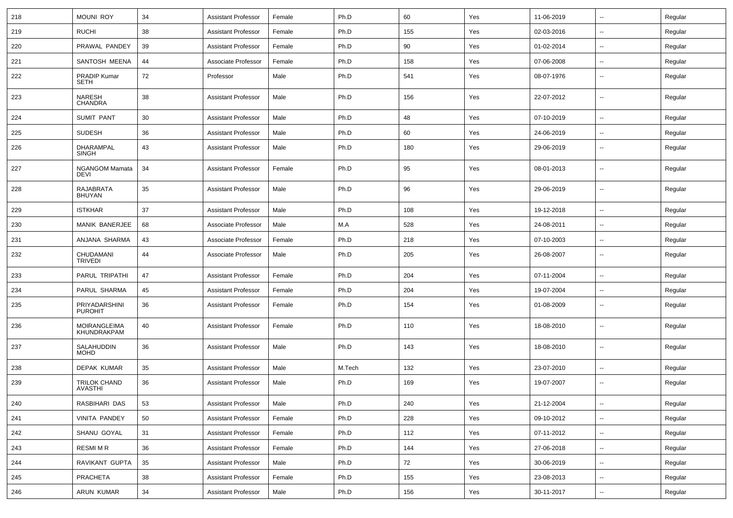| 218 | <b>MOUNI ROY</b>                     | 34 | <b>Assistant Professor</b> | Female | Ph.D   | 60  | Yes | 11-06-2019 | $\overline{\phantom{a}}$ | Regular |
|-----|--------------------------------------|----|----------------------------|--------|--------|-----|-----|------------|--------------------------|---------|
| 219 | <b>RUCHI</b>                         | 38 | <b>Assistant Professor</b> | Female | Ph.D   | 155 | Yes | 02-03-2016 | --                       | Regular |
| 220 | PRAWAL PANDEY                        | 39 | <b>Assistant Professor</b> | Female | Ph.D   | 90  | Yes | 01-02-2014 | $\overline{\phantom{a}}$ | Regular |
| 221 | SANTOSH MEENA                        | 44 | Associate Professor        | Female | Ph.D   | 158 | Yes | 07-06-2008 | $\overline{\phantom{a}}$ | Regular |
| 222 | PRADIP Kumar<br>SETH                 | 72 | Professor                  | Male   | Ph.D   | 541 | Yes | 08-07-1976 | --                       | Regular |
| 223 | NARESH<br>CHANDRA                    | 38 | <b>Assistant Professor</b> | Male   | Ph.D   | 156 | Yes | 22-07-2012 | $\overline{\phantom{a}}$ | Regular |
| 224 | <b>SUMIT PANT</b>                    | 30 | <b>Assistant Professor</b> | Male   | Ph.D   | 48  | Yes | 07-10-2019 | $\overline{\phantom{a}}$ | Regular |
| 225 | <b>SUDESH</b>                        | 36 | <b>Assistant Professor</b> | Male   | Ph.D   | 60  | Yes | 24-06-2019 | $\overline{\phantom{a}}$ | Regular |
| 226 | DHARAMPAL<br><b>SINGH</b>            | 43 | <b>Assistant Professor</b> | Male   | Ph.D   | 180 | Yes | 29-06-2019 | --                       | Regular |
| 227 | <b>NGANGOM Mamata</b><br><b>DEVI</b> | 34 | <b>Assistant Professor</b> | Female | Ph.D   | 95  | Yes | 08-01-2013 | $\overline{\phantom{a}}$ | Regular |
| 228 | RAJABRATA<br>BHUYAN                  | 35 | <b>Assistant Professor</b> | Male   | Ph.D   | 96  | Yes | 29-06-2019 | н.                       | Regular |
| 229 | <b>ISTKHAR</b>                       | 37 | <b>Assistant Professor</b> | Male   | Ph.D   | 108 | Yes | 19-12-2018 | ⊷.                       | Regular |
| 230 | MANIK BANERJEE                       | 68 | Associate Professor        | Male   | M.A    | 528 | Yes | 24-08-2011 | --                       | Regular |
| 231 | ANJANA SHARMA                        | 43 | Associate Professor        | Female | Ph.D   | 218 | Yes | 07-10-2003 | --                       | Regular |
| 232 | CHUDAMANI<br><b>TRIVEDI</b>          | 44 | Associate Professor        | Male   | Ph.D   | 205 | Yes | 26-08-2007 | $\overline{\phantom{a}}$ | Regular |
| 233 | PARUL TRIPATHI                       | 47 | <b>Assistant Professor</b> | Female | Ph.D   | 204 | Yes | 07-11-2004 | $\overline{\phantom{a}}$ | Regular |
| 234 | PARUL SHARMA                         | 45 | <b>Assistant Professor</b> | Female | Ph.D   | 204 | Yes | 19-07-2004 | $\overline{\phantom{a}}$ | Regular |
| 235 | PRIYADARSHINI<br><b>PUROHIT</b>      | 36 | <b>Assistant Professor</b> | Female | Ph.D   | 154 | Yes | 01-08-2009 | ⊷.                       | Regular |
| 236 | MOIRANGLEIMA<br>KHUNDRAKPAM          | 40 | <b>Assistant Professor</b> | Female | Ph.D   | 110 | Yes | 18-08-2010 | $\overline{\phantom{a}}$ | Regular |
| 237 | SALAHUDDIN<br><b>MOHD</b>            | 36 | <b>Assistant Professor</b> | Male   | Ph.D   | 143 | Yes | 18-08-2010 | $\overline{\phantom{a}}$ | Regular |
| 238 | <b>DEPAK KUMAR</b>                   | 35 | <b>Assistant Professor</b> | Male   | M.Tech | 132 | Yes | 23-07-2010 | $\overline{\phantom{a}}$ | Regular |
| 239 | TRILOK CHAND<br>AVASTHI              | 36 | <b>Assistant Professor</b> | Male   | Ph.D   | 169 | Yes | 19-07-2007 | $\overline{\phantom{a}}$ | Regular |
| 240 | RASBIHARI DAS                        | 53 | Assistant Professor        | Male   | Ph.D   | 240 | Yes | 21-12-2004 | $\sim$                   | Regular |
| 241 | <b>VINITA PANDEY</b>                 | 50 | <b>Assistant Professor</b> | Female | Ph.D   | 228 | Yes | 09-10-2012 | $\overline{\phantom{a}}$ | Regular |
| 242 | SHANU GOYAL                          | 31 | <b>Assistant Professor</b> | Female | Ph.D   | 112 | Yes | 07-11-2012 | $\sim$                   | Regular |
| 243 | RESMI M R                            | 36 | <b>Assistant Professor</b> | Female | Ph.D   | 144 | Yes | 27-06-2018 | $\overline{\phantom{a}}$ | Regular |
| 244 | RAVIKANT GUPTA                       | 35 | <b>Assistant Professor</b> | Male   | Ph.D   | 72  | Yes | 30-06-2019 | $\overline{\phantom{a}}$ | Regular |
| 245 | PRACHETA                             | 38 | <b>Assistant Professor</b> | Female | Ph.D   | 155 | Yes | 23-08-2013 | Щ,                       | Regular |
| 246 | ARUN KUMAR                           | 34 | <b>Assistant Professor</b> | Male   | Ph.D   | 156 | Yes | 30-11-2017 | $\overline{\phantom{a}}$ | Regular |